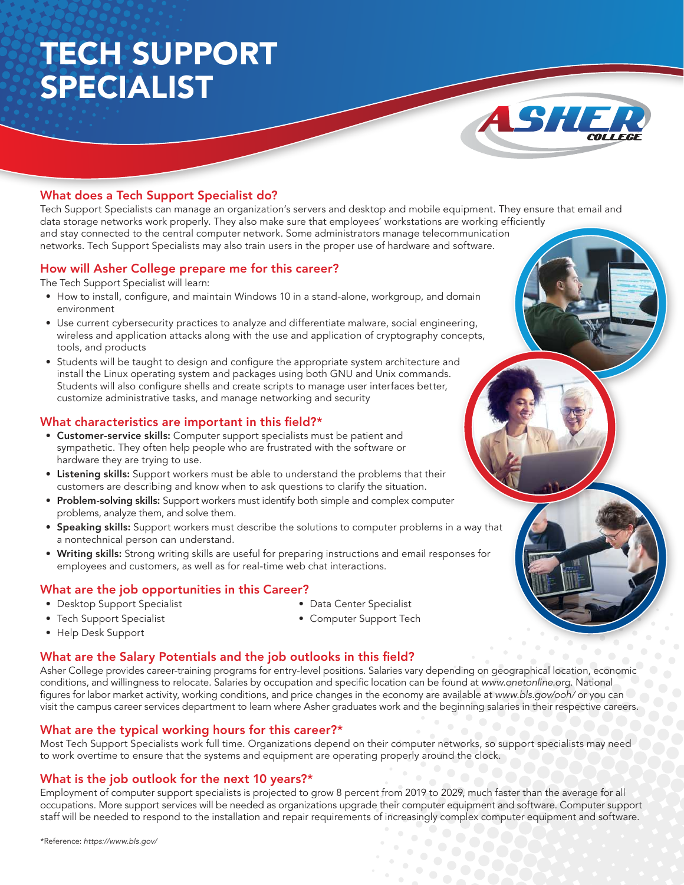# TECH SUPPORT SPECIALIST



### What does a Tech Support Specialist do?

Tech Support Specialists can manage an organization's servers and desktop and mobile equipment. They ensure that email and data storage networks work properly. They also make sure that employees' workstations are working efficiently and stay connected to the central computer network. Some administrators manage telecommunication networks. Tech Support Specialists may also train users in the proper use of hardware and software.

#### How will Asher College prepare me for this career?

The Tech Support Specialist will learn:

- How to install, configure, and maintain Windows 10 in a stand-alone, workgroup, and domain environment
- Use current cybersecurity practices to analyze and differentiate malware, social engineering, wireless and application attacks along with the use and application of cryptography concepts, tools, and products
- Students will be taught to design and configure the appropriate system architecture and install the Linux operating system and packages using both GNU and Unix commands. Students will also configure shells and create scripts to manage user interfaces better, customize administrative tasks, and manage networking and security

#### What characteristics are important in this field?\*

- Customer-service skills: Computer support specialists must be patient and sympathetic. They often help people who are frustrated with the software or hardware they are trying to use.
- Listening skills: Support workers must be able to understand the problems that their customers are describing and know when to ask questions to clarify the situation.
- Problem-solving skills: Support workers must identify both simple and complex computer problems, analyze them, and solve them.
- Speaking skills: Support workers must describe the solutions to computer problems in a way that a nontechnical person can understand.
- Writing skills: Strong writing skills are useful for preparing instructions and email responses for employees and customers, as well as for real-time web chat interactions.

#### What are the job opportunities in this Career?

• Desktop Support Specialist

• Data Center Specialist

• Tech Support Specialist

• Computer Support Tech

• Help Desk Support

#### What are the Salary Potentials and the job outlooks in this field?

Asher College provides career-training programs for entry-level positions. Salaries vary depending on geographical location, economic conditions, and willingness to relocate. Salaries by occupation and specific location can be found at www.onetonline.org. National figures for labor market activity, working conditions, and price changes in the economy are available at www.bls.gov/ooh/ or you can visit the campus career services department to learn where Asher graduates work and the beginning salaries in their respective careers.

#### What are the typical working hours for this career?\*

Most Tech Support Specialists work full time. Organizations depend on their computer networks, so support specialists may need to work overtime to ensure that the systems and equipment are operating properly around the clock.

#### What is the job outlook for the next 10 years?\*

Employment of computer support specialists is projected to grow 8 percent from 2019 to 2029, much faster than the average for all occupations. More support services will be needed as organizations upgrade their computer equipment and software. Computer support staff will be needed to respond to the installation and repair requirements of increasingly complex computer equipment and software.